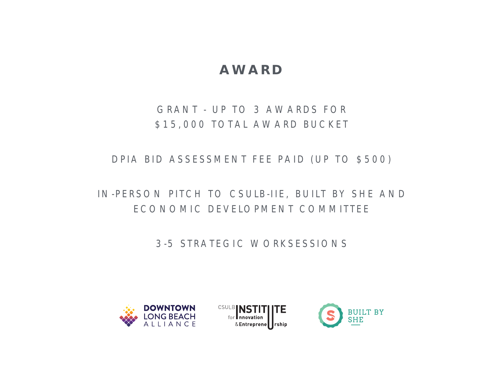# **AWARD**

### GRANT - UP TO 3 AWARDS FOR \$15,000 TOTAL AWARD BUCKET

DPIA BID ASSESSMENT FEE PAID (UP TO \$500)

### IN-PERSON PITCH TO CSULB-IIE, BUILT BY SHE AND ECONOMIC DEVELOPMENT COMMITTEE

3-5 STRATEGIC WORKSESSIONS





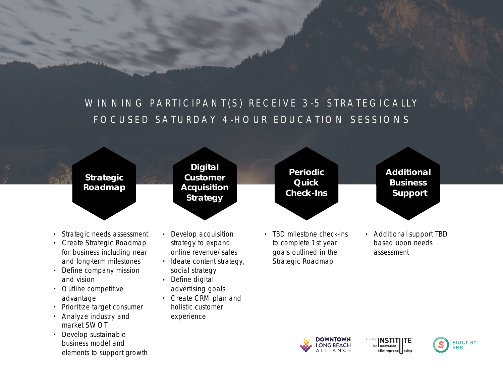## WINNING PARTICIPANT(S) RECEIVE 3-5 STRATEGICALLY FOCUSED SATURDAY 4-HOUR EDUCATION SESSIONS



- Strategic needs assessment
- Create Strategic Roadmap for business including near and long-term milestones
- Define company mission and vision
- Outline competitive advantage
- Prioritize target consumer
- Analyze industry and market SWOT
- Develop sustainable business model and elements to support growth
- Develop acquisition strategy to expand online revenue/sales
- Ideate content strategy, social strategy
- Define digital advertising goals
- Create CRM plan and holistic customer experience
- TBD milestone check-ins to complete 1st year goals outlined in the Strategic Roadmap
- Additional support TBD based upon needs assessment





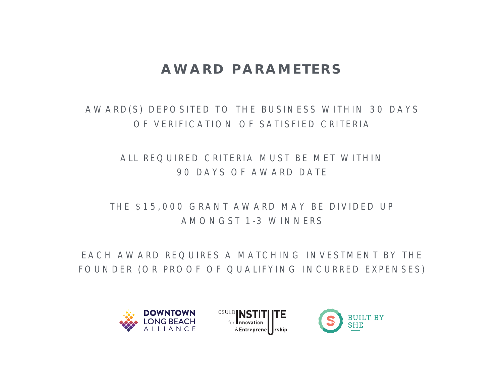# **AWARD PARAMETERS**

AWARD(S) DEPOSITED TO THE BUSINESS WITHIN 30 DAYS OF VERIFICATION OF SATISFIED CRITERIA

### ALL REQUIRED CRITERIA MUST BE MET WITHIN 90 DAYS OF AWARD DATE

### THE \$15,000 GRANT AWARD MAY BE DIVIDED UP AMONGST 1-3 WINNERS

EACH AWARD REQUIRES A MATCHING INVESTMENT BY THE FOUNDER (OR PROOF OF QUALIFYING INCURRED EXPENSES)